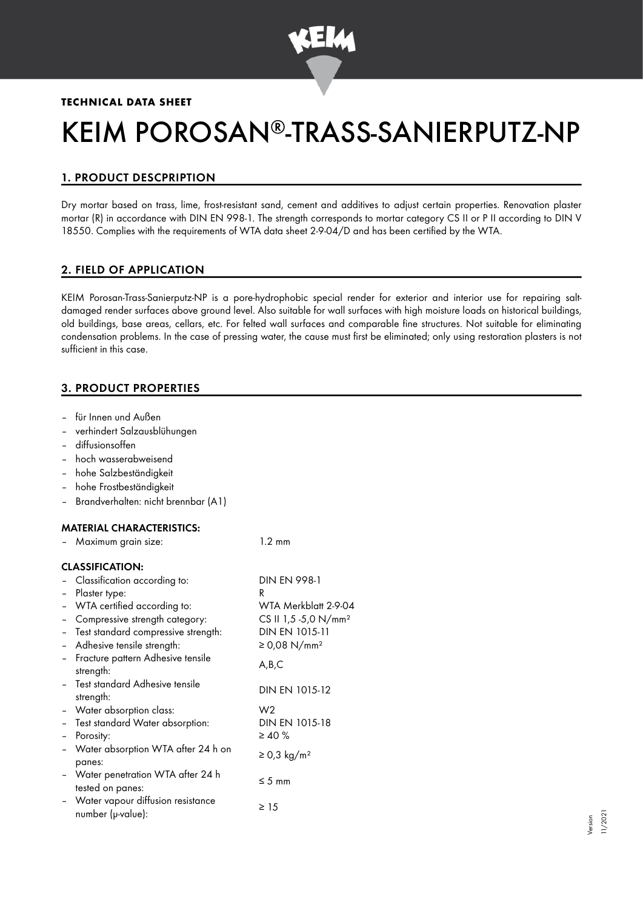

# **TECHNICAL DATA SHEET**

# KEIM POROSAN®-TRASS-SANIERPUTZ-NP

# 1. PRODUCT DESCPRIPTION

Dry mortar based on trass, lime, frost-resistant sand, cement and additives to adjust certain properties. Renovation plaster mortar (R) in accordance with DIN EN 998-1. The strength corresponds to mortar category CS II or P II according to DIN V 18550. Complies with the requirements of WTA data sheet 2-9-04/D and has been certified by the WTA.

# 2. FIELD OF APPLICATION

KEIM Porosan-Trass-Sanierputz-NP is a pore-hydrophobic special render for exterior and interior use for repairing saltdamaged render surfaces above ground level. Also suitable for wall surfaces with high moisture loads on historical buildings, old buildings, base areas, cellars, etc. For felted wall surfaces and comparable fine structures. Not suitable for eliminating condensation problems. In the case of pressing water, the cause must first be eliminated; only using restoration plasters is not sufficient in this case.

# 3. PRODUCT PROPERTIES

- für Innen und Außen
- verhindert Salzausblühungen
- diffusionsoffen
- hoch wasserabweisend
- hohe Salzbeständigkeit
- hohe Frostbeständigkeit
- Brandverhalten: nicht brennbar (A1)

## MATERIAL CHARACTERISTICS:

– Maximum grain size: 1.2 mm

## CLASSIFICATION:

|                          | - Classification according to:                           | <b>DIN EN 998-1</b>              |
|--------------------------|----------------------------------------------------------|----------------------------------|
|                          | Plaster type:                                            | R                                |
| $\overline{\phantom{0}}$ | WTA certified according to:                              | WTA Merkblatt 2-9-04             |
|                          | Compressive strength category:                           | CS II 1,5 -5,0 N/mm <sup>2</sup> |
|                          | Test standard compressive strength:                      | DIN EN 1015-11                   |
| $\overline{\phantom{0}}$ | Adhesive tensile strength:                               | ≥ 0,08 N/mm <sup>2</sup>         |
|                          | Fracture pattern Adhesive tensile<br>strength:           | A,B,C                            |
|                          | - Test standard Adhesive tensile<br>strength:            | DIN EN 1015-12                   |
|                          | - Water absorption class:                                | W <sub>2</sub>                   |
|                          | - Test standard Water absorption:                        | DIN EN 1015-18                   |
| $\overline{\phantom{0}}$ | Porosity:                                                | $\geq 40 \%$                     |
| $\blacksquare$           | Water absorption WTA after 24 h on<br>panes:             | $\geq$ 0,3 kg/m <sup>2</sup>     |
|                          | - Water penetration WTA after 24 h<br>tested on panes:   | $\leq$ 5 mm                      |
|                          | - Water vapour diffusion resistance<br>number (µ-value): | $\geq 15$                        |
|                          |                                                          |                                  |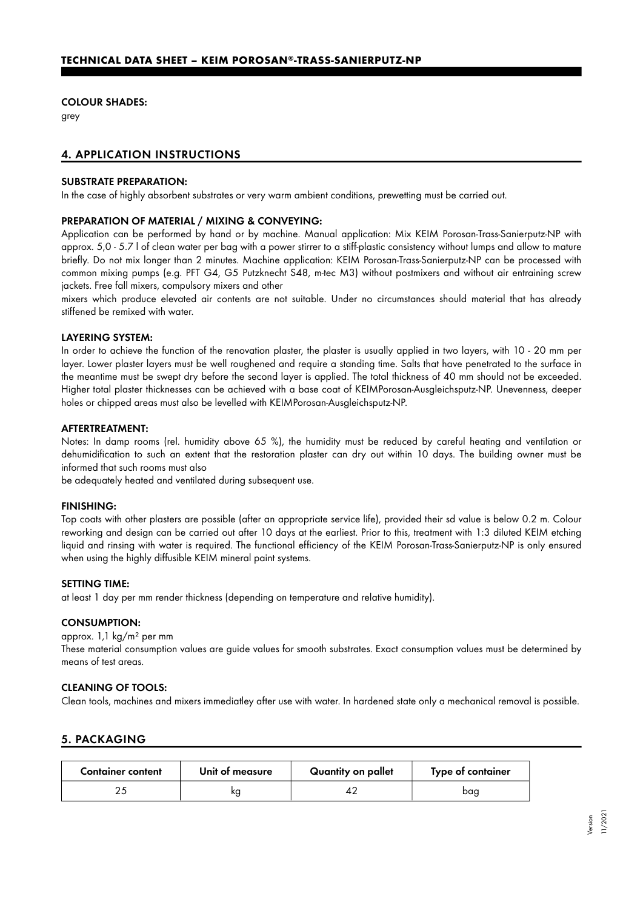#### COLOUR SHADES:

grey

## 4. APPLICATION INSTRUCTIONS

#### SUBSTRATE PREPARATION:

In the case of highly absorbent substrates or very warm ambient conditions, prewetting must be carried out.

#### PREPARATION OF MATERIAL / MIXING & CONVEYING:

Application can be performed by hand or by machine. Manual application: Mix KEIM Porosan-Trass-Sanierputz-NP with approx. 5,0 - 5.7 l of clean water per bag with a power stirrer to a stiff-plastic consistency without lumps and allow to mature briefly. Do not mix longer than 2 minutes. Machine application: KEIM Porosan-Trass-Sanierputz-NP can be processed with common mixing pumps (e.g. PFT G4, G5 Putzknecht S48, m-tec M3) without postmixers and without air entraining screw jackets. Free fall mixers, compulsory mixers and other

mixers which produce elevated air contents are not suitable. Under no circumstances should material that has already stiffened be remixed with water.

#### LAYERING SYSTEM:

In order to achieve the function of the renovation plaster, the plaster is usually applied in two layers, with 10 - 20 mm per layer. Lower plaster layers must be well roughened and require a standing time. Salts that have penetrated to the surface in the meantime must be swept dry before the second layer is applied. The total thickness of 40 mm should not be exceeded. Higher total plaster thicknesses can be achieved with a base coat of KEIMPorosan-Ausgleichsputz-NP. Unevenness, deeper holes or chipped areas must also be levelled with KEIMPorosan-Ausgleichsputz-NP.

#### AFTERTREATMENT:

Notes: In damp rooms (rel. humidity above 65 %), the humidity must be reduced by careful heating and ventilation or dehumidification to such an extent that the restoration plaster can dry out within 10 days. The building owner must be informed that such rooms must also

be adequately heated and ventilated during subsequent use.

#### FINISHING:

Top coats with other plasters are possible (after an appropriate service life), provided their sd value is below 0.2 m. Colour reworking and design can be carried out after 10 days at the earliest. Prior to this, treatment with 1:3 diluted KEIM etching liquid and rinsing with water is required. The functional efficiency of the KEIM Porosan-Trass-Sanierputz-NP is only ensured when using the highly diffusible KEIM mineral paint systems.

#### SETTING TIME:

at least 1 day per mm render thickness (depending on temperature and relative humidity).

#### CONSUMPTION:

approx. 1,1 kg/m² per mm

These material consumption values are guide values for smooth substrates. Exact consumption values must be determined by means of test areas.

#### CLEANING OF TOOLS:

Clean tools, machines and mixers immediatley after use with water. In hardened state only a mechanical removal is possible.

## 5. PACKAGING

| <b>Container content</b> | Unit of measure | Quantity on pallet | Type of container |
|--------------------------|-----------------|--------------------|-------------------|
|                          |                 |                    | bag               |